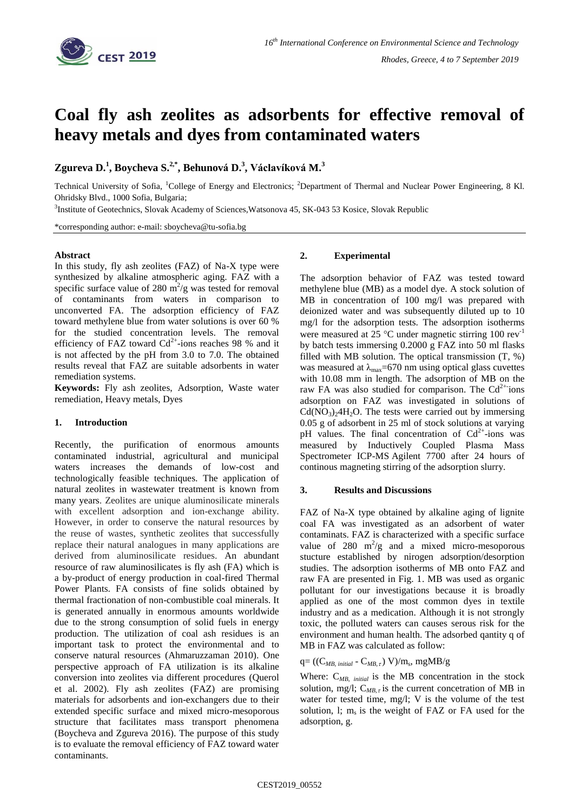

# **Coal fly ash zeolites as adsorbents for effective removal of heavy metals and dyes from contaminated waters**

**Zgureva D. 1 , Boycheva S. 2,\* , Behunová D.<sup>3</sup> , Václavíková M.<sup>3</sup>**

Technical University of Sofia, <sup>1</sup>College of Energy and Electronics; <sup>2</sup>Department of Thermal and Nuclear Power Engineering, 8 Kl. Ohridsky Blvd., 1000 Sofia, Bulgaria;

<sup>3</sup>Institute of Geotechnics, Slovak Academy of Sciences, Watsonova 45, SK-043 53 Kosice, Slovak Republic

\*corresponding author: e-mail: sboycheva@tu-sofia.bg

## **Abstract**

In this study, fly ash zeolites (FAZ) of Na-X type were synthesized by alkaline atmospheric aging. FAZ with a specific surface value of 280  $\text{m}^2/\text{g}$  was tested for removal of contaminants from waters in comparison to unconverted FA. The adsorption efficiency of FAZ toward methylene blue from water solutions is over 60 % for the studied concentration levels. The removal efficiency of FAZ toward  $Cd^{2+}$ -ions reaches 98 % and it is not affected by the pH from 3.0 to 7.0. The obtained results reveal that FAZ are suitable adsorbents in water remediation systems.

**Keywords:** Fly ash zeolites, Adsorption, Waste water remediation, Heavy metals, Dyes

## **1. Introduction**

Recently, the purification of enormous amounts contaminated industrial, agricultural and municipal waters increases the demands of low-cost and technologically feasible techniques. The application of natural zeolites in wastewater treatment is known from many years. Zeolites are unique aluminosilicate minerals with excellent adsorption and ion-exchange ability. However, in order to conserve the natural resources by the reuse of wastes, synthetic zeolites that successfully replace their natural analogues in many applications are derived from aluminosilicate residues. An abundant resource of raw aluminosilicates is fly ash (FA) which is a by-product of energy production in coal-fired Thermal Power Plants. FA consists of fine solids obtained by thermal fractionation of non-combustible coal minerals. It is generated annually in enormous amounts worldwide due to the strong consumption of solid fuels in energy production. The utilization of coal ash residues is an important task to protect the environmental and to conserve natural resources (Ahmaruzzaman 2010). One perspective approach of FA utilization is its alkaline conversion into zeolites via different procedures (Querol et al. 2002). Fly ash zeolites (FAZ) are promising materials for adsorbents and ion-exchangers due to their extended specific surface and mixed micro-mesoporous structure that facilitates mass transport phenomena (Boycheva and Zgureva 2016). The purpose of this study is to evaluate the removal efficiency of FAZ toward water contaminants.

## **2. Experimental**

The adsorption behavior of FAZ was tested toward methylene blue (MB) as a model dye. A stock solution of MB in concentration of 100 mg/l was prepared with deionized water and was subsequently diluted up to 10 mg/l for the adsorption tests. The adsorption isotherms were measured at 25  $^{\circ}$ C under magnetic stirring 100 rev<sup>-1</sup> by batch tests immersing 0.2000 g FAZ into 50 ml flasks filled with MB solution. The optical transmission  $(T, %)$ was measured at  $\lambda_{\text{max}}$ =670 nm using optical glass cuvettes with 10.08 mm in length. The adsorption of MB on the raw FA was also studied for comparison. The  $Cd^{2+}$ ions adsorption on FAZ was investigated in solutions of  $Cd(NO<sub>3</sub>)<sub>2</sub>4H<sub>2</sub>O$ . The tests were carried out by immersing 0.05 g of adsorbent in 25 ml of stock solutions at varying pH values. The final concentration of  $Cd^{2+}$ -ions was measured by Inductively Coupled Plasma Mass Spectrometer ICP-MS Agilent 7700 after 24 hours of continous magneting stirring of the adsorption slurry.

## **3. Results and Discussions**

FAZ of Na-X type obtained by alkaline aging of lignite coal FA was investigated as an adsorbent of water contaminats. FAZ is characterized with a specific surface value of  $280 \text{ m}^2\text{/g}$  and a mixed micro-mesoporous stucture established by nirogen adsorption/desorption studies. The adsorption isotherms of MB onto FAZ and raw FA are presented in Fig. 1. MB was used as organic pollutant for our investigations because it is broadly applied as one of the most common dyes in textile industry and as a medication. Although it is not strongly toxic, the polluted waters can causes serous risk for the environment and human health. The adsorbed qantity q of MB in FAZ was calculated as follow:

 $q = ((C_{MB, initial} - C_{MB, \tau}) \text{ V})/m_s, \text{ mgMB/g}$ 

Where: C*MB, initial* is the MB concentration in the stock solution, mg/l;  $C_{MB,\tau}$  is the current concetration of MB in water for tested time, mg/l; V is the volume of the test solution, l;  $m_s$  is the weight of FAZ or FA used for the adsorption, g.